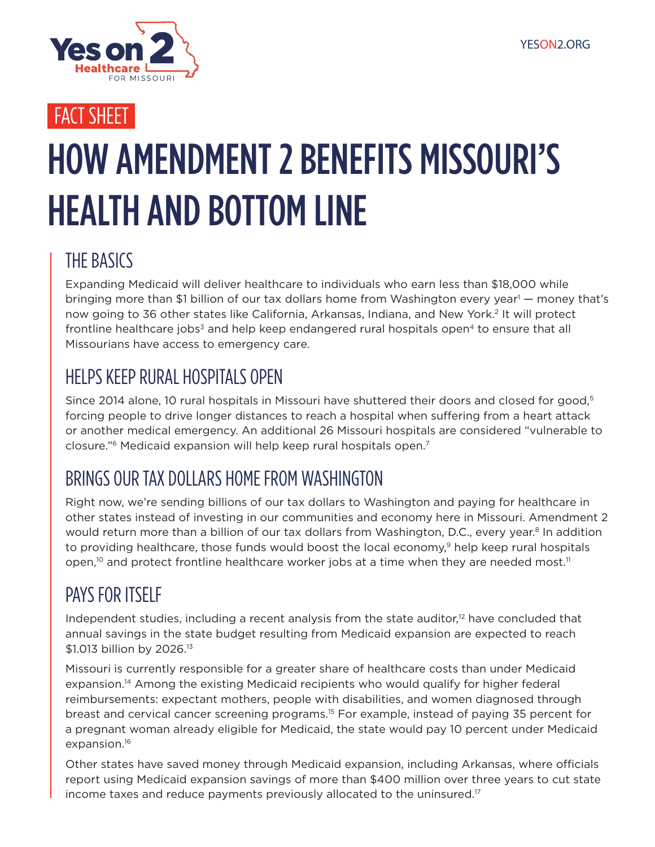

### FACT SHEET

# HOW AMENDMENT 2 BENEFITS MISSOURI'S HEALTH AND BOTTOM LINE

### THE BASICS

Expanding Medicaid will deliver healthcare to individuals who earn less than \$18,000 while bringing more than \$1 billion of our tax dollars home from Washington every year<sup>1</sup> — money that's now going to 36 other states like California, Arkansas, Indiana, and New York.2 It will protect frontline healthcare jobs<sup>3</sup> and help keep endangered rural hospitals open<sup>4</sup> to ensure that all Missourians have access to emergency care.

#### HELPS KEEP RURAL HOSPITALS OPEN

Since 2014 alone, 10 rural hospitals in Missouri have shuttered their doors and closed for good,<sup>5</sup> forcing people to drive longer distances to reach a hospital when suffering from a heart attack or another medical emergency. An additional 26 Missouri hospitals are considered "vulnerable to closure."6 Medicaid expansion will help keep rural hospitals open.7

### BRINGS OUR TAX DOLLARS HOME FROM WASHINGTON

Right now, we're sending billions of our tax dollars to Washington and paying for healthcare in other states instead of investing in our communities and economy here in Missouri. Amendment 2 would return more than a billion of our tax dollars from Washington, D.C., every year.<sup>8</sup> In addition to providing healthcare, those funds would boost the local economy,<sup>9</sup> help keep rural hospitals open,<sup>10</sup> and protect frontline healthcare worker jobs at a time when they are needed most.<sup>11</sup>

### PAYS FOR ITSELF

Independent studies, including a recent analysis from the state auditor, $12$  have concluded that annual savings in the state budget resulting from Medicaid expansion are expected to reach \$1.013 billion by 2026.<sup>13</sup>

Missouri is currently responsible for a greater share of healthcare costs than under Medicaid expansion.<sup>14</sup> Among the existing Medicaid recipients who would qualify for higher federal reimbursements: expectant mothers, people with disabilities, and women diagnosed through breast and cervical cancer screening programs.15 For example, instead of paying 35 percent for a pregnant woman already eligible for Medicaid, the state would pay 10 percent under Medicaid expansion.<sup>16</sup>

Other states have saved money through Medicaid expansion, including Arkansas, where officials report using Medicaid expansion savings of more than \$400 million over three years to cut state income taxes and reduce payments previously allocated to the uninsured.17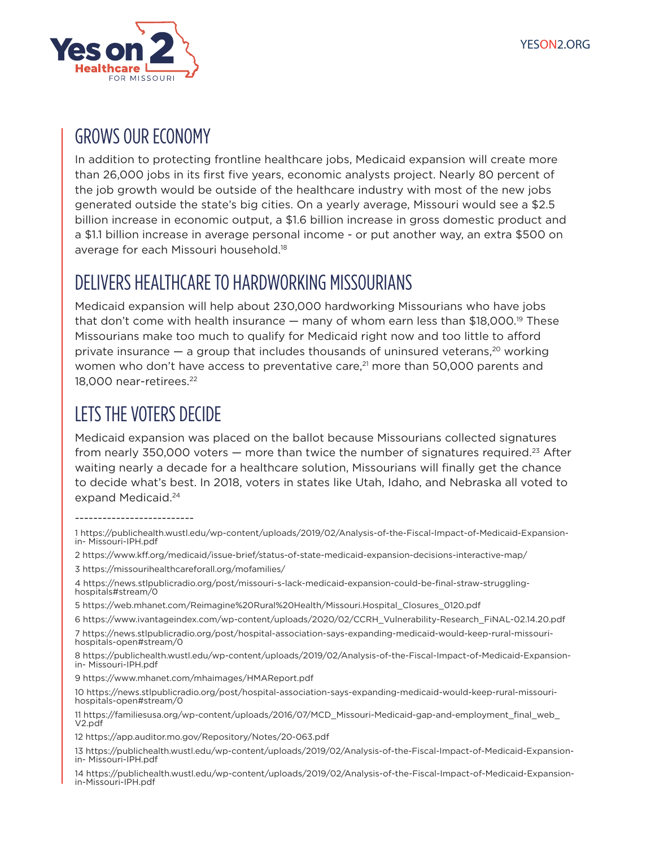

#### GROWS OUR ECONOMY

In addition to protecting frontline healthcare jobs, Medicaid expansion will create more than 26,000 jobs in its first five years, economic analysts project. Nearly 80 percent of the job growth would be outside of the healthcare industry with most of the new jobs generated outside the state's big cities. On a yearly average, Missouri would see a \$2.5 billion increase in economic output, a \$1.6 billion increase in gross domestic product and a \$1.1 billion increase in average personal income - or put another way, an extra \$500 on average for each Missouri household.18

#### DELIVERS HEALTHCARE TO HARDWORKING MISSOURIANS

Medicaid expansion will help about 230,000 hardworking Missourians who have jobs that don't come with health insurance  $-$  many of whom earn less than \$18,000.<sup>19</sup> These Missourians make too much to qualify for Medicaid right now and too little to afford private insurance  $-$  a group that includes thousands of uninsured veterans,<sup>20</sup> working women who don't have access to preventative care,<sup>21</sup> more than 50,000 parents and 18,000 near-retirees.<sup>22</sup>

### LETS THE VOTERS DECIDE

Medicaid expansion was placed on the ballot because Missourians collected signatures from nearly 350,000 voters  $-$  more than twice the number of signatures required.<sup>23</sup> After waiting nearly a decade for a healthcare solution, Missourians will finally get the chance to decide what's best. In 2018, voters in states like Utah, Idaho, and Nebraska all voted to expand Medicaid.24

#### --------------------------

2 https://www.kff.org/medicaid/issue-brief/status-of-state-medicaid-expansion-decisions-interactive-map/ 3 https://missourihealthcareforall.org/mofamilies/

9 https://www.mhanet.com/mhaimages/HMAReport.pdf

<sup>1</sup> https://publichealth.wustl.edu/wp-content/uploads/2019/02/Analysis-of-the-Fiscal-Impact-of-Medicaid-Expansionin- Missouri-IPH.pdf

<sup>4</sup> https://news.stlpublicradio.org/post/missouri-s-lack-medicaid-expansion-could-be-final-straw-strugglinghospitals#stream/0

<sup>5</sup> https://web.mhanet.com/Reimagine%20Rural%20Health/Missouri.Hospital\_Closures\_0120.pdf

<sup>6</sup> https://www.ivantageindex.com/wp-content/uploads/2020/02/CCRH\_Vulnerability-Research\_FiNAL-02.14.20.pdf

<sup>7</sup> https://news.stlpublicradio.org/post/hospital-association-says-expanding-medicaid-would-keep-rural-missourihospitals-open#stream/0

<sup>8</sup> https://publichealth.wustl.edu/wp-content/uploads/2019/02/Analysis-of-the-Fiscal-Impact-of-Medicaid-Expansionin- Missouri-IPH.pdf

<sup>10</sup> https://news.stlpublicradio.org/post/hospital-association-says-expanding-medicaid-would-keep-rural-missourihospitals-open#stream/0

<sup>11</sup> https://familiesusa.org/wp-content/uploads/2016/07/MCD\_Missouri-Medicaid-gap-and-employment\_final\_web\_ V2.pdf

<sup>12</sup> https://app.auditor.mo.gov/Repository/Notes/20-063.pdf

<sup>13</sup> https://publichealth.wustl.edu/wp-content/uploads/2019/02/Analysis-of-the-Fiscal-Impact-of-Medicaid-Expansionin- Missouri-IPH.pdf

<sup>14</sup> https://publichealth.wustl.edu/wp-content/uploads/2019/02/Analysis-of-the-Fiscal-Impact-of-Medicaid-Expansionin-Missouri-IPH.pdf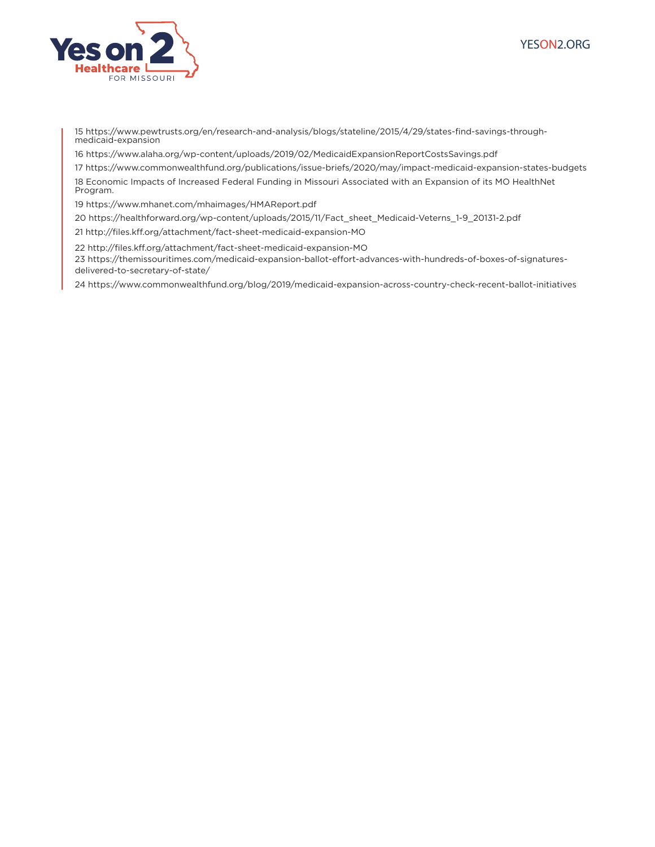



15 https://www.pewtrusts.org/en/research-and-analysis/blogs/stateline/2015/4/29/states-find-savings-throughmedicaid-expansion

16 https://www.alaha.org/wp-content/uploads/2019/02/MedicaidExpansionReportCostsSavings.pdf

17 https://www.commonwealthfund.org/publications/issue-briefs/2020/may/impact-medicaid-expansion-states-budgets 18 Economic Impacts of Increased Federal Funding in Missouri Associated with an Expansion of its MO HealthNet

Program.

19 https://www.mhanet.com/mhaimages/HMAReport.pdf

20 https://healthforward.org/wp-content/uploads/2015/11/Fact\_sheet\_Medicaid-Veterns\_1-9\_20131-2.pdf

21 http://files.kff.org/attachment/fact-sheet-medicaid-expansion-MO

22 http://files.kff.org/attachment/fact-sheet-medicaid-expansion-MO 23 https://themissouritimes.com/medicaid-expansion-ballot-effort-advances-with-hundreds-of-boxes-of-signaturesdelivered-to-secretary-of-state/

24 https://www.commonwealthfund.org/blog/2019/medicaid-expansion-across-country-check-recent-ballot-initiatives